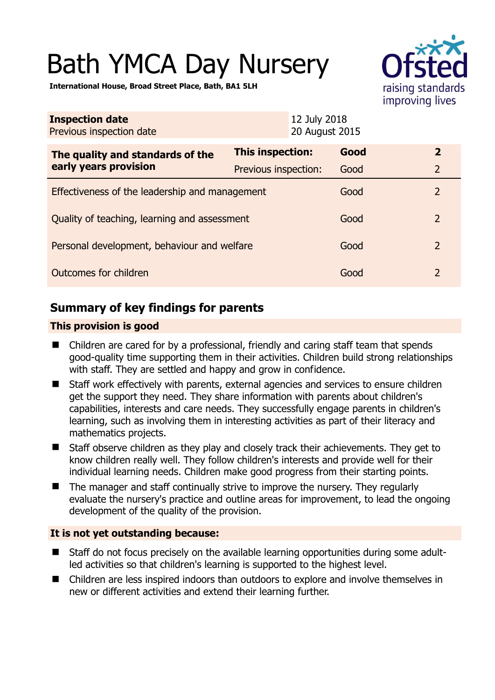# Bath YMCA Day Nursery



**International House, Broad Street Place, Bath, BA1 5LH** 

| <b>Inspection date</b><br>Previous inspection date        | 12 July 2018<br>20 August 2015 |      |                |
|-----------------------------------------------------------|--------------------------------|------|----------------|
| The quality and standards of the<br>early years provision | <b>This inspection:</b>        | Good | $\mathbf{2}$   |
|                                                           | Previous inspection:           | Good | $\overline{2}$ |
| Effectiveness of the leadership and management            |                                | Good | $\overline{2}$ |
| Quality of teaching, learning and assessment              |                                | Good | $\overline{2}$ |
| Personal development, behaviour and welfare               |                                | Good | $\overline{2}$ |
| Outcomes for children                                     |                                | Good | $\overline{2}$ |

# **Summary of key findings for parents**

## **This provision is good**

- Children are cared for by a professional, friendly and caring staff team that spends good-quality time supporting them in their activities. Children build strong relationships with staff. They are settled and happy and grow in confidence.
- Staff work effectively with parents, external agencies and services to ensure children get the support they need. They share information with parents about children's capabilities, interests and care needs. They successfully engage parents in children's learning, such as involving them in interesting activities as part of their literacy and mathematics projects.
- Staff observe children as they play and closely track their achievements. They get to know children really well. They follow children's interests and provide well for their individual learning needs. Children make good progress from their starting points.
- $\blacksquare$  The manager and staff continually strive to improve the nursery. They regularly evaluate the nursery's practice and outline areas for improvement, to lead the ongoing development of the quality of the provision.

## **It is not yet outstanding because:**

- Staff do not focus precisely on the available learning opportunities during some adultled activities so that children's learning is supported to the highest level.
- Children are less inspired indoors than outdoors to explore and involve themselves in new or different activities and extend their learning further.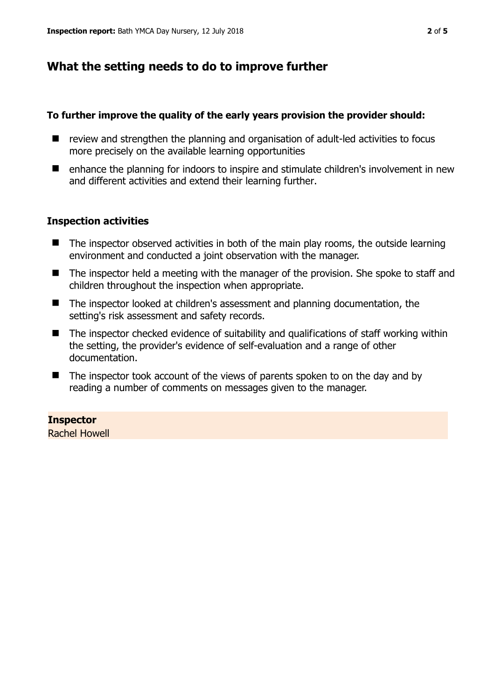# **What the setting needs to do to improve further**

#### **To further improve the quality of the early years provision the provider should:**

- review and strengthen the planning and organisation of adult-led activities to focus more precisely on the available learning opportunities
- enhance the planning for indoors to inspire and stimulate children's involvement in new and different activities and extend their learning further.

## **Inspection activities**

- $\blacksquare$  The inspector observed activities in both of the main play rooms, the outside learning environment and conducted a joint observation with the manager.
- The inspector held a meeting with the manager of the provision. She spoke to staff and children throughout the inspection when appropriate.
- The inspector looked at children's assessment and planning documentation, the setting's risk assessment and safety records.
- The inspector checked evidence of suitability and qualifications of staff working within the setting, the provider's evidence of self-evaluation and a range of other documentation.
- $\blacksquare$  The inspector took account of the views of parents spoken to on the day and by reading a number of comments on messages given to the manager.

#### **Inspector**

Rachel Howell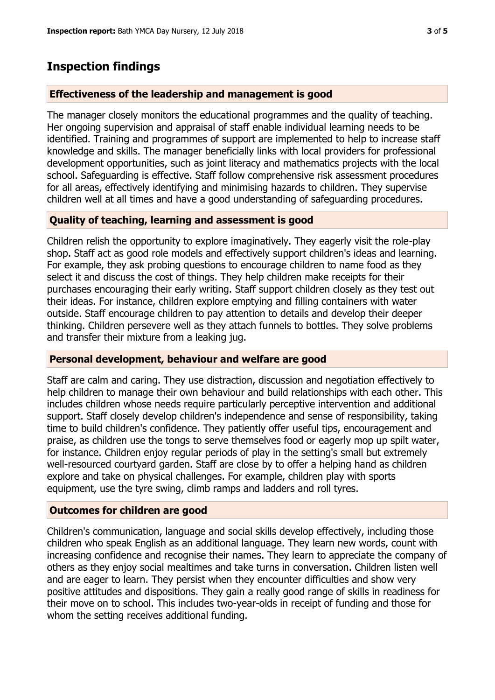# **Inspection findings**

#### **Effectiveness of the leadership and management is good**

The manager closely monitors the educational programmes and the quality of teaching. Her ongoing supervision and appraisal of staff enable individual learning needs to be identified. Training and programmes of support are implemented to help to increase staff knowledge and skills. The manager beneficially links with local providers for professional development opportunities, such as joint literacy and mathematics projects with the local school. Safeguarding is effective. Staff follow comprehensive risk assessment procedures for all areas, effectively identifying and minimising hazards to children. They supervise children well at all times and have a good understanding of safeguarding procedures.

## **Quality of teaching, learning and assessment is good**

Children relish the opportunity to explore imaginatively. They eagerly visit the role-play shop. Staff act as good role models and effectively support children's ideas and learning. For example, they ask probing questions to encourage children to name food as they select it and discuss the cost of things. They help children make receipts for their purchases encouraging their early writing. Staff support children closely as they test out their ideas. For instance, children explore emptying and filling containers with water outside. Staff encourage children to pay attention to details and develop their deeper thinking. Children persevere well as they attach funnels to bottles. They solve problems and transfer their mixture from a leaking jug.

#### **Personal development, behaviour and welfare are good**

Staff are calm and caring. They use distraction, discussion and negotiation effectively to help children to manage their own behaviour and build relationships with each other. This includes children whose needs require particularly perceptive intervention and additional support. Staff closely develop children's independence and sense of responsibility, taking time to build children's confidence. They patiently offer useful tips, encouragement and praise, as children use the tongs to serve themselves food or eagerly mop up spilt water, for instance. Children enjoy regular periods of play in the setting's small but extremely well-resourced courtyard garden. Staff are close by to offer a helping hand as children explore and take on physical challenges. For example, children play with sports equipment, use the tyre swing, climb ramps and ladders and roll tyres.

#### **Outcomes for children are good**

Children's communication, language and social skills develop effectively, including those children who speak English as an additional language. They learn new words, count with increasing confidence and recognise their names. They learn to appreciate the company of others as they enjoy social mealtimes and take turns in conversation. Children listen well and are eager to learn. They persist when they encounter difficulties and show very positive attitudes and dispositions. They gain a really good range of skills in readiness for their move on to school. This includes two-year-olds in receipt of funding and those for whom the setting receives additional funding.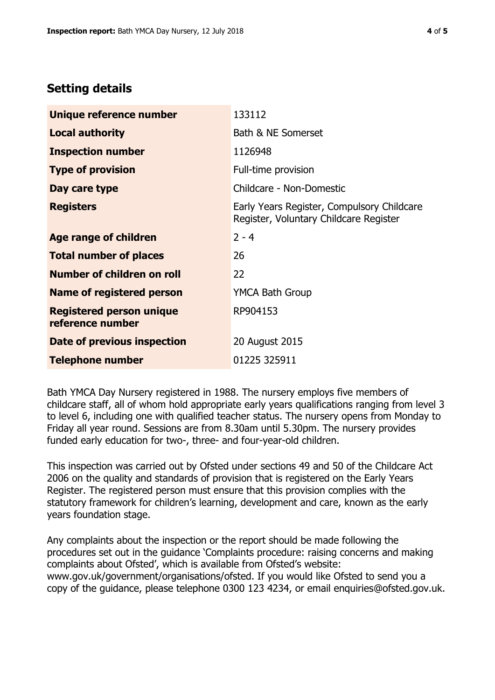# **Setting details**

| Unique reference number                             | 133112                                                                               |  |
|-----------------------------------------------------|--------------------------------------------------------------------------------------|--|
| <b>Local authority</b>                              | Bath & NE Somerset                                                                   |  |
| <b>Inspection number</b>                            | 1126948                                                                              |  |
| <b>Type of provision</b>                            | Full-time provision                                                                  |  |
| Day care type                                       | Childcare - Non-Domestic                                                             |  |
| <b>Registers</b>                                    | Early Years Register, Compulsory Childcare<br>Register, Voluntary Childcare Register |  |
| Age range of children                               | $2 - 4$                                                                              |  |
| <b>Total number of places</b>                       | 26                                                                                   |  |
| Number of children on roll                          | 22                                                                                   |  |
| Name of registered person                           | <b>YMCA Bath Group</b>                                                               |  |
| <b>Registered person unique</b><br>reference number | RP904153                                                                             |  |
| <b>Date of previous inspection</b>                  | 20 August 2015                                                                       |  |
| <b>Telephone number</b>                             | 01225 325911                                                                         |  |

Bath YMCA Day Nursery registered in 1988. The nursery employs five members of childcare staff, all of whom hold appropriate early years qualifications ranging from level 3 to level 6, including one with qualified teacher status. The nursery opens from Monday to Friday all year round. Sessions are from 8.30am until 5.30pm. The nursery provides funded early education for two-, three- and four-year-old children.

This inspection was carried out by Ofsted under sections 49 and 50 of the Childcare Act 2006 on the quality and standards of provision that is registered on the Early Years Register. The registered person must ensure that this provision complies with the statutory framework for children's learning, development and care, known as the early years foundation stage.

Any complaints about the inspection or the report should be made following the procedures set out in the guidance 'Complaints procedure: raising concerns and making complaints about Ofsted', which is available from Ofsted's website: www.gov.uk/government/organisations/ofsted. If you would like Ofsted to send you a copy of the guidance, please telephone 0300 123 4234, or email enquiries@ofsted.gov.uk.